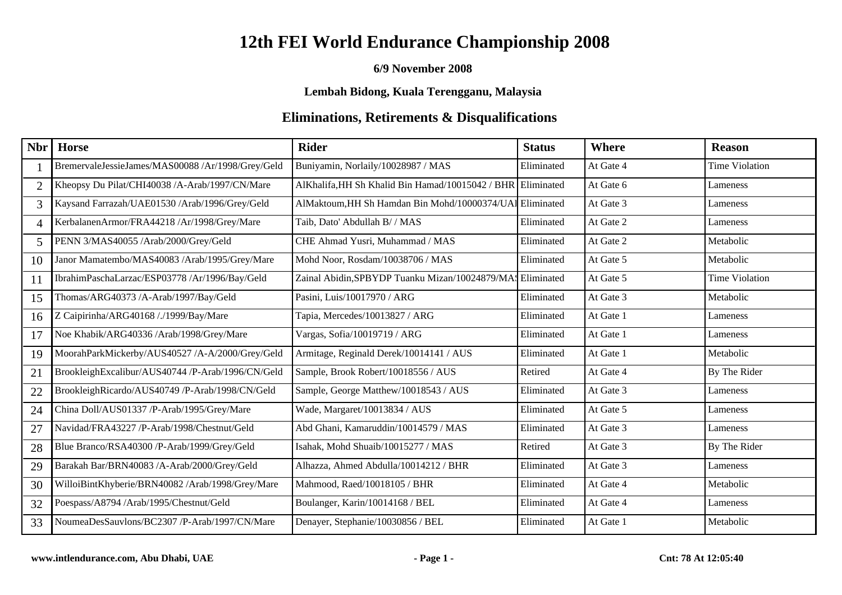#### **6/9 November 2008**

### **Lembah Bidong, Kuala Terengganu, Malaysia**

| Nbr                      | <b>Horse</b>                                      | <b>Rider</b>                                     | <b>Status</b> | <b>Where</b> | <b>Reason</b>         |
|--------------------------|---------------------------------------------------|--------------------------------------------------|---------------|--------------|-----------------------|
|                          | BremervaleJessieJames/MAS00088 /Ar/1998/Grey/Geld | Buniyamin, Norlaily/10028987 / MAS               | Eliminated    | At Gate 4    | <b>Time Violation</b> |
| $\overline{2}$           | Kheopsy Du Pilat/CHI40038 /A-Arab/1997/CN/Mare    | AlKhalifa, HH Sh Khalid Bin Hamad/10015042 / BHR | Eliminated    | At Gate 6    | Lameness              |
| 3                        | Kaysand Farrazah/UAE01530 /Arab/1996/Grey/Geld    | AlMaktoum, HH Sh Hamdan Bin Mohd/10000374/UA     | Eliminated    | At Gate 3    | Lameness              |
| $\overline{\mathcal{L}}$ | KerbalanenArmor/FRA44218 /Ar/1998/Grey/Mare       | Taib, Dato' Abdullah B/ / MAS                    | Eliminated    | At Gate 2    | Lameness              |
| 5                        | PENN 3/MAS40055 /Arab/2000/Grey/Geld              | CHE Ahmad Yusri, Muhammad / MAS                  | Eliminated    | At Gate 2    | Metabolic             |
| 10                       | Janor Mamatembo/MAS40083 /Arab/1995/Grey/Mare     | Mohd Noor, Rosdam/10038706 / MAS                 | Eliminated    | At Gate 5    | Metabolic             |
| 11                       | IbrahimPaschaLarzac/ESP03778 /Ar/1996/Bay/Geld    | Zainal Abidin, SPBYDP Tuanku Mizan/10024879/MA:  | Eliminated    | At Gate 5    | <b>Time Violation</b> |
| 15                       | Thomas/ARG40373 /A-Arab/1997/Bay/Geld             | Pasini, Luis/10017970 / ARG                      | Eliminated    | At Gate 3    | Metabolic             |
| 16                       | Z Caipirinha/ARG40168 /./1999/Bay/Mare            | Tapia, Mercedes/10013827 / ARG                   | Eliminated    | At Gate 1    | Lameness              |
| 17                       | Noe Khabik/ARG40336 /Arab/1998/Grey/Mare          | Vargas, Sofia/10019719 / ARG                     | Eliminated    | At Gate 1    | Lameness              |
| 19                       | MoorahParkMickerby/AUS40527 /A-A/2000/Grey/Geld   | Armitage, Reginald Derek/10014141 / AUS          | Eliminated    | At Gate 1    | Metabolic             |
| 21                       | BrookleighExcalibur/AUS40744 /P-Arab/1996/CN/Geld | Sample, Brook Robert/10018556 / AUS              | Retired       | At Gate 4    | By The Rider          |
| 22                       | BrookleighRicardo/AUS40749 /P-Arab/1998/CN/Geld   | Sample, George Matthew/10018543 / AUS            | Eliminated    | At Gate 3    | Lameness              |
| 24                       | China Doll/AUS01337 /P-Arab/1995/Grey/Mare        | Wade, Margaret/10013834 / AUS                    | Eliminated    | At Gate 5    | Lameness              |
| 27                       | Navidad/FRA43227 /P-Arab/1998/Chestnut/Geld       | Abd Ghani, Kamaruddin/10014579 / MAS             | Eliminated    | At Gate 3    | Lameness              |
| 28                       | Blue Branco/RSA40300 /P-Arab/1999/Grey/Geld       | Isahak, Mohd Shuaib/10015277 / MAS               | Retired       | At Gate 3    | By The Rider          |
| 29                       | Barakah Bar/BRN40083 /A-Arab/2000/Grey/Geld       | Alhazza, Ahmed Abdulla/10014212 / BHR            | Eliminated    | At Gate 3    | Lameness              |
| 30                       | WilloiBintKhyberie/BRN40082 /Arab/1998/Grey/Mare  | Mahmood, Raed/10018105 / BHR                     | Eliminated    | At Gate 4    | Metabolic             |
| 32                       | Poespass/A8794 /Arab/1995/Chestnut/Geld           | Boulanger, Karin/10014168 / BEL                  | Eliminated    | At Gate 4    | Lameness              |
| 33                       | NoumeaDesSauvlons/BC2307 /P-Arab/1997/CN/Mare     | Denayer, Stephanie/10030856 / BEL                | Eliminated    | At Gate 1    | Metabolic             |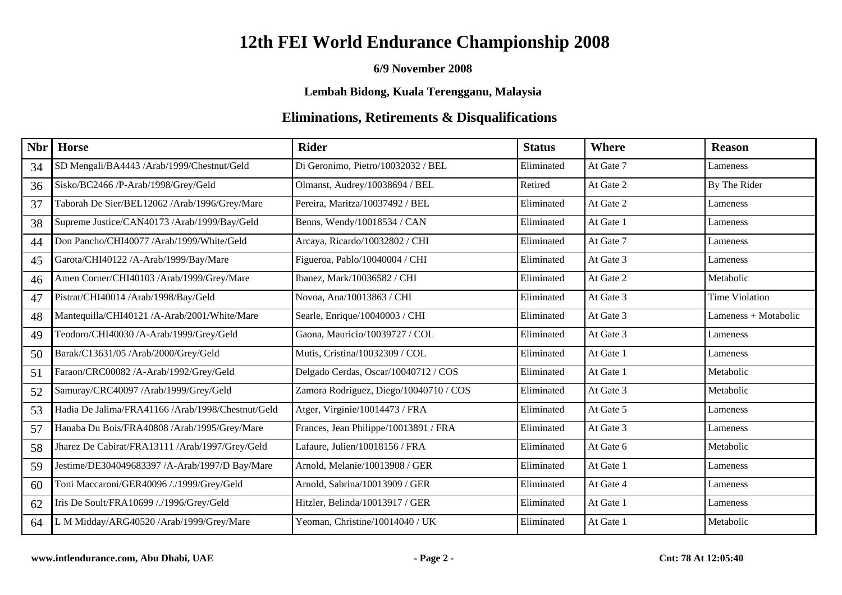#### **6/9 November 2008**

**Lembah Bidong, Kuala Terengganu, Malaysia**

| <b>Nbr</b> | <b>Horse</b>                                      | <b>Rider</b>                           | <b>Status</b> | Where     | <b>Reason</b>        |
|------------|---------------------------------------------------|----------------------------------------|---------------|-----------|----------------------|
| 34         | SD Mengali/BA4443 /Arab/1999/Chestnut/Geld        | Di Geronimo, Pietro/10032032 / BEL     | Eliminated    | At Gate 7 | Lameness             |
| 36         | Sisko/BC2466 /P-Arab/1998/Grey/Geld               | Olmanst, Audrey/10038694 / BEL         | Retired       | At Gate 2 | By The Rider         |
| 37         | Taborah De Sier/BEL12062 /Arab/1996/Grey/Mare     | Pereira, Maritza/10037492 / BEL        | Eliminated    | At Gate 2 | Lameness             |
| 38         | Supreme Justice/CAN40173 /Arab/1999/Bay/Geld      | Benns, Wendy/10018534 / CAN            | Eliminated    | At Gate 1 | Lameness             |
| 44         | Don Pancho/CHI40077 /Arab/1999/White/Geld         | Arcaya, Ricardo/10032802 / CHI         | Eliminated    | At Gate 7 | Lameness             |
| 45         | Garota/CHI40122 /A-Arab/1999/Bay/Mare             | Figueroa, Pablo/10040004 / CHI         | Eliminated    | At Gate 3 | Lameness             |
| 46         | Amen Corner/CHI40103 /Arab/1999/Grey/Mare         | Ibanez, Mark/10036582 / CHI            | Eliminated    | At Gate 2 | Metabolic            |
| 47         | Pistrat/CHI40014 /Arab/1998/Bay/Geld              | Novoa, Ana/10013863 / CHI              | Eliminated    | At Gate 3 | Time Violation       |
| 48         | Mantequilla/CHI40121 /A-Arab/2001/White/Mare      | Searle, Enrique/10040003 / CHI         | Eliminated    | At Gate 3 | Lameness + Motabolic |
| 49         | Teodoro/CHI40030 /A-Arab/1999/Grey/Geld           | Gaona, Mauricio/10039727 / COL         | Eliminated    | At Gate 3 | Lameness             |
| 50         | Barak/C13631/05 /Arab/2000/Grey/Geld              | Mutis, Cristina/10032309 / COL         | Eliminated    | At Gate 1 | Lameness             |
| 51         | Faraon/CRC00082 /A-Arab/1992/Grey/Geld            | Delgado Cerdas, Oscar/10040712 / COS   | Eliminated    | At Gate 1 | Metabolic            |
| 52         | Samuray/CRC40097 /Arab/1999/Grey/Geld             | Zamora Rodriguez, Diego/10040710 / COS | Eliminated    | At Gate 3 | Metabolic            |
| 53         | Hadia De Jalima/FRA41166 /Arab/1998/Chestnut/Geld | Atger, Virginie/10014473 / FRA         | Eliminated    | At Gate 5 | Lameness             |
| 57         | Hanaba Du Bois/FRA40808 /Arab/1995/Grey/Mare      | Frances, Jean Philippe/10013891 / FRA  | Eliminated    | At Gate 3 | Lameness             |
| 58         | Jharez De Cabirat/FRA13111 /Arab/1997/Grey/Geld   | Lafaure, Julien/10018156 / FRA         | Eliminated    | At Gate 6 | Metabolic            |
| 59         | Jestime/DE304049683397 /A-Arab/1997/D Bay/Mare    | Arnold, Melanie/10013908 / GER         | Eliminated    | At Gate 1 | Lameness             |
| 60         | Toni Maccaroni/GER40096 /./1999/Grey/Geld         | Arnold, Sabrina/10013909 / GER         | Eliminated    | At Gate 4 | Lameness             |
| 62         | Iris De Soult/FRA10699 /./1996/Grey/Geld          | Hitzler, Belinda/10013917 / GER        | Eliminated    | At Gate 1 | Lameness             |
| 64         | L M Midday/ARG40520 /Arab/1999/Grey/Mare          | Yeoman, Christine/10014040 / UK        | Eliminated    | At Gate 1 | Metabolic            |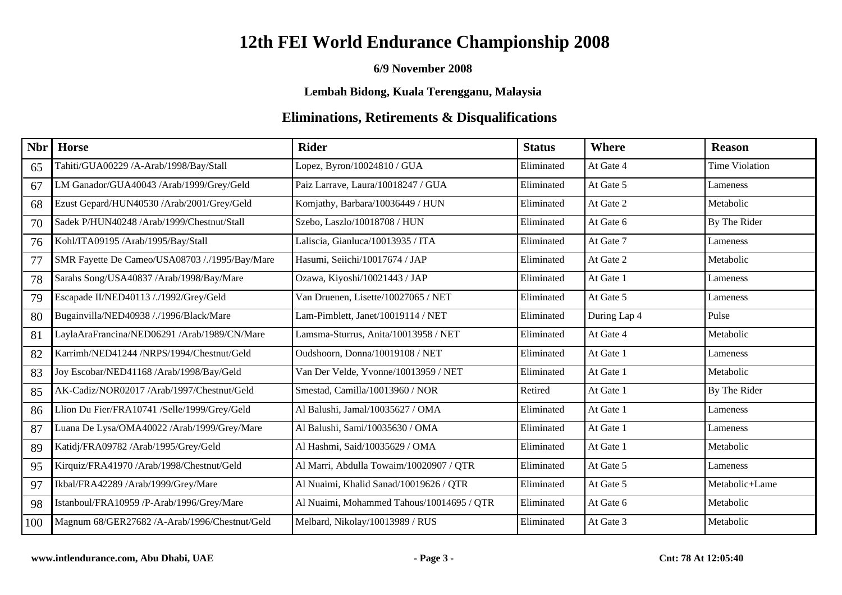#### **6/9 November 2008**

**Lembah Bidong, Kuala Terengganu, Malaysia**

| <b>Nbr</b> | <b>Horse</b>                                   | <b>Rider</b>                              | <b>Status</b> | <b>Where</b> | <b>Reason</b>         |
|------------|------------------------------------------------|-------------------------------------------|---------------|--------------|-----------------------|
| 65         | Tahiti/GUA00229 /A-Arab/1998/Bay/Stall         | Lopez, Byron/10024810 / GUA               | Eliminated    | At Gate 4    | <b>Time Violation</b> |
| 67         | LM Ganador/GUA40043 /Arab/1999/Grey/Geld       | Paiz Larrave, Laura/10018247 / GUA        | Eliminated    | At Gate 5    | Lameness              |
| 68         | Ezust Gepard/HUN40530 /Arab/2001/Grey/Geld     | Komjathy, Barbara/10036449 / HUN          | Eliminated    | At Gate 2    | Metabolic             |
| 70         | Sadek P/HUN40248 /Arab/1999/Chestnut/Stall     | Szebo, Laszlo/10018708 / HUN              | Eliminated    | At Gate 6    | By The Rider          |
| 76         | Kohl/ITA09195 /Arab/1995/Bay/Stall             | Laliscia, Gianluca/10013935 / ITA         | Eliminated    | At Gate 7    | Lameness              |
| 77         | SMR Fayette De Cameo/USA08703 /./1995/Bay/Mare | Hasumi, Seiichi/10017674 / JAP            | Eliminated    | At Gate 2    | Metabolic             |
| 78         | Sarahs Song/USA40837 /Arab/1998/Bay/Mare       | Ozawa, Kiyoshi/10021443 / JAP             | Eliminated    | At Gate 1    | Lameness              |
| 79         | Escapade II/NED40113 /./1992/Grey/Geld         | Van Druenen, Lisette/10027065 / NET       | Eliminated    | At Gate 5    | Lameness              |
| 80         | Bugainvilla/NED40938 /./1996/Black/Mare        | Lam-Pimblett, Janet/10019114 / NET        | Eliminated    | During Lap 4 | Pulse                 |
| 81         | .aylaAraFrancina/NED06291 /Arab/1989/CN/Mare   | Lamsma-Sturrus, Anita/10013958 / NET      | Eliminated    | At Gate 4    | Metabolic             |
| 82         | Karrimh/NED41244 /NRPS/1994/Chestnut/Geld      | Oudshoorn, Donna/10019108 / NET           | Eliminated    | At Gate 1    | Lameness              |
| 83         | Joy Escobar/NED41168 /Arab/1998/Bay/Geld       | Van Der Velde, Yvonne/10013959 / NET      | Eliminated    | At Gate 1    | Metabolic             |
| 85         | AK-Cadiz/NOR02017 /Arab/1997/Chestnut/Geld     | Smestad, Camilla/10013960 / NOR           | Retired       | At Gate 1    | By The Rider          |
| 86         | Llion Du Fier/FRA10741 /Selle/1999/Grey/Geld   | Al Balushi, Jamal/10035627 / OMA          | Eliminated    | At Gate 1    | Lameness              |
| 87         | Luana De Lysa/OMA40022 /Arab/1999/Grey/Mare    | Al Balushi, Sami/10035630 / OMA           | Eliminated    | At Gate 1    | Lameness              |
| 89         | Katidj/FRA09782 /Arab/1995/Grey/Geld           | Al Hashmi, Said/10035629 / OMA            | Eliminated    | At Gate 1    | Metabolic             |
| 95         | Kirquiz/FRA41970 /Arab/1998/Chestnut/Geld      | Al Marri, Abdulla Towaim/10020907 / QTR   | Eliminated    | At Gate 5    | Lameness              |
| 97         | Ikbal/FRA42289 /Arab/1999/Grey/Mare            | Al Nuaimi, Khalid Sanad/10019626 / QTR    | Eliminated    | At Gate 5    | Metabolic+Lame        |
| 98         | Istanboul/FRA10959 /P-Arab/1996/Grey/Mare      | Al Nuaimi, Mohammed Tahous/10014695 / QTR | Eliminated    | At Gate 6    | Metabolic             |
| 100        | Magnum 68/GER27682 /A-Arab/1996/Chestnut/Geld  | Melbard, Nikolay/10013989 / RUS           | Eliminated    | At Gate 3    | Metabolic             |